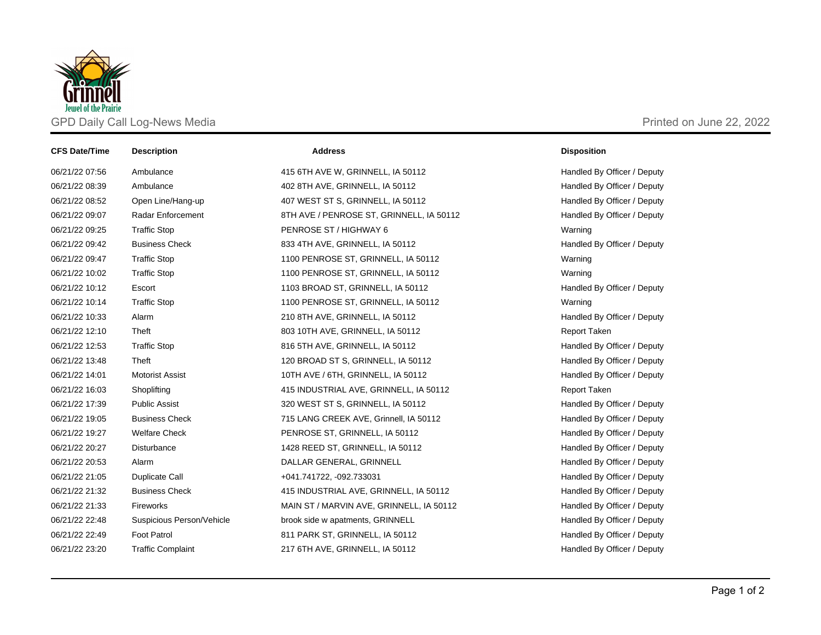

| <b>CFS Date/Time</b> | <b>Description</b>        | <b>Address</b>                           | <b>Disposition</b>          |
|----------------------|---------------------------|------------------------------------------|-----------------------------|
| 06/21/22 07:56       | Ambulance                 | 415 6TH AVE W, GRINNELL, IA 50112        | Handled By Officer / Deputy |
| 06/21/22 08:39       | Ambulance                 | 402 8TH AVE, GRINNELL, IA 50112          | Handled By Officer / Deputy |
| 06/21/22 08:52       | Open Line/Hang-up         | 407 WEST ST S, GRINNELL, IA 50112        | Handled By Officer / Deputy |
| 06/21/22 09:07       | <b>Radar Enforcement</b>  | 8TH AVE / PENROSE ST, GRINNELL, IA 50112 | Handled By Officer / Deputy |
| 06/21/22 09:25       | <b>Traffic Stop</b>       | PENROSE ST / HIGHWAY 6                   | Warning                     |
| 06/21/22 09:42       | <b>Business Check</b>     | 833 4TH AVE, GRINNELL, IA 50112          | Handled By Officer / Deputy |
| 06/21/22 09:47       | <b>Traffic Stop</b>       | 1100 PENROSE ST, GRINNELL, IA 50112      | Warning                     |
| 06/21/22 10:02       | <b>Traffic Stop</b>       | 1100 PENROSE ST, GRINNELL, IA 50112      | Warning                     |
| 06/21/22 10:12       | Escort                    | 1103 BROAD ST, GRINNELL, IA 50112        | Handled By Officer / Deputy |
| 06/21/22 10:14       | <b>Traffic Stop</b>       | 1100 PENROSE ST, GRINNELL, IA 50112      | Warning                     |
| 06/21/22 10:33       | Alarm                     | 210 8TH AVE, GRINNELL, IA 50112          | Handled By Officer / Deputy |
| 06/21/22 12:10       | Theft                     | 803 10TH AVE, GRINNELL, IA 50112         | <b>Report Taken</b>         |
| 06/21/22 12:53       | <b>Traffic Stop</b>       | 816 5TH AVE, GRINNELL, IA 50112          | Handled By Officer / Deputy |
| 06/21/22 13:48       | Theft                     | 120 BROAD ST S, GRINNELL, IA 50112       | Handled By Officer / Deputy |
| 06/21/22 14:01       | <b>Motorist Assist</b>    | 10TH AVE / 6TH, GRINNELL, IA 50112       | Handled By Officer / Deputy |
| 06/21/22 16:03       | Shoplifting               | 415 INDUSTRIAL AVE, GRINNELL, IA 50112   | Report Taken                |
| 06/21/22 17:39       | <b>Public Assist</b>      | 320 WEST ST S, GRINNELL, IA 50112        | Handled By Officer / Deputy |
| 06/21/22 19:05       | <b>Business Check</b>     | 715 LANG CREEK AVE, Grinnell, IA 50112   | Handled By Officer / Deputy |
| 06/21/22 19:27       | <b>Welfare Check</b>      | PENROSE ST, GRINNELL, IA 50112           | Handled By Officer / Deputy |
| 06/21/22 20:27       | Disturbance               | 1428 REED ST, GRINNELL, IA 50112         | Handled By Officer / Deputy |
| 06/21/22 20:53       | Alarm                     | DALLAR GENERAL, GRINNELL                 | Handled By Officer / Deputy |
| 06/21/22 21:05       | Duplicate Call            | +041.741722, -092.733031                 | Handled By Officer / Deputy |
| 06/21/22 21:32       | <b>Business Check</b>     | 415 INDUSTRIAL AVE, GRINNELL, IA 50112   | Handled By Officer / Deputy |
| 06/21/22 21:33       | Fireworks                 | MAIN ST / MARVIN AVE, GRINNELL, IA 50112 | Handled By Officer / Deputy |
| 06/21/22 22:48       | Suspicious Person/Vehicle | brook side w apatments, GRINNELL         | Handled By Officer / Deputy |
| 06/21/22 22:49       | Foot Patrol               | 811 PARK ST, GRINNELL, IA 50112          | Handled By Officer / Deputy |
| 06/21/22 23:20       | <b>Traffic Complaint</b>  | 217 6TH AVE, GRINNELL, IA 50112          | Handled By Officer / Deputy |
|                      |                           |                                          |                             |